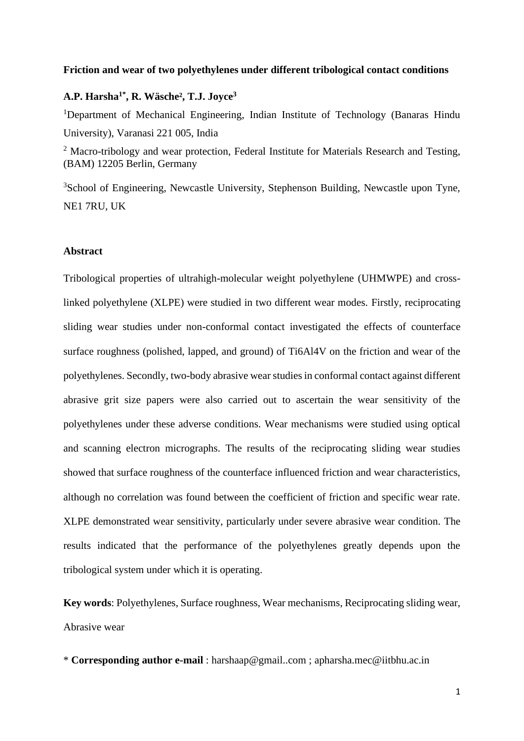#### **Friction and wear of two polyethylenes under different tribological contact conditions**

# **A.P. Harsha1\*, R. Wäsche², T.J. Joyce<sup>3</sup>**

<sup>1</sup>Department of Mechanical Engineering, Indian Institute of Technology (Banaras Hindu University), Varanasi 221 005, India

<sup>2</sup> Macro-tribology and wear protection, Federal Institute for Materials Research and Testing, (BAM) 12205 Berlin, Germany

<sup>3</sup>School of Engineering, Newcastle University, Stephenson Building, Newcastle upon Tyne, NE1 7RU, UK

## **Abstract**

Tribological properties of ultrahigh-molecular weight polyethylene (UHMWPE) and crosslinked polyethylene (XLPE) were studied in two different wear modes. Firstly, reciprocating sliding wear studies under non-conformal contact investigated the effects of counterface surface roughness (polished, lapped, and ground) of Ti6Al4V on the friction and wear of the polyethylenes. Secondly, two-body abrasive wear studies in conformal contact against different abrasive grit size papers were also carried out to ascertain the wear sensitivity of the polyethylenes under these adverse conditions. Wear mechanisms were studied using optical and scanning electron micrographs. The results of the reciprocating sliding wear studies showed that surface roughness of the counterface influenced friction and wear characteristics, although no correlation was found between the coefficient of friction and specific wear rate. XLPE demonstrated wear sensitivity, particularly under severe abrasive wear condition. The results indicated that the performance of the polyethylenes greatly depends upon the tribological system under which it is operating.

**Key words**: Polyethylenes, Surface roughness, Wear mechanisms, Reciprocating sliding wear, Abrasive wear

\* **Corresponding author e-mail** : [harshaap@gmail..com](mailto:harshaap@gmail..com) ; apharsha.mec@iitbhu.ac.in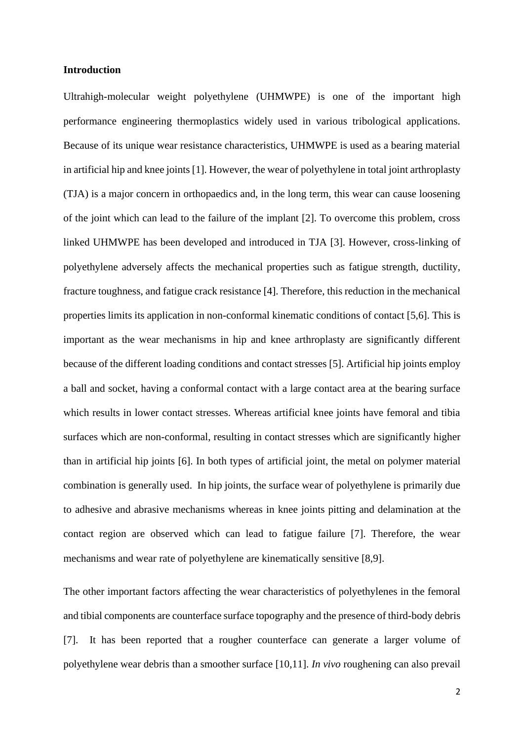# **Introduction**

Ultrahigh-molecular weight polyethylene (UHMWPE) is one of the important high performance engineering thermoplastics widely used in various tribological applications. Because of its unique wear resistance characteristics, UHMWPE is used as a bearing material in artificial hip and knee joints [1]. However, the wear of polyethylene in total joint arthroplasty (TJA) is a major concern in orthopaedics and, in the long term, this wear can cause loosening of the joint which can lead to the failure of the implant [2]. To overcome this problem, cross linked UHMWPE has been developed and introduced in TJA [3]. However, cross-linking of polyethylene adversely affects the mechanical properties such as fatigue strength, ductility, fracture toughness, and fatigue crack resistance [4]. Therefore, this reduction in the mechanical properties limits its application in non-conformal kinematic conditions of contact [5,6]. This is important as the wear mechanisms in hip and knee arthroplasty are significantly different because of the different loading conditions and contact stresses [5]. Artificial hip joints employ a ball and socket, having a conformal contact with a large contact area at the bearing surface which results in lower contact stresses. Whereas artificial knee joints have femoral and tibia surfaces which are non-conformal, resulting in contact stresses which are significantly higher than in artificial hip joints [6]. In both types of artificial joint, the metal on polymer material combination is generally used. In hip joints, the surface wear of polyethylene is primarily due to adhesive and abrasive mechanisms whereas in knee joints pitting and delamination at the contact region are observed which can lead to fatigue failure [7]. Therefore, the wear mechanisms and wear rate of polyethylene are kinematically sensitive [8,9].

The other important factors affecting the wear characteristics of polyethylenes in the femoral and tibial components are counterface surface topography and the presence of third-body debris [7]. It has been reported that a rougher counterface can generate a larger volume of polyethylene wear debris than a smoother surface [10,11]. *In vivo* roughening can also prevail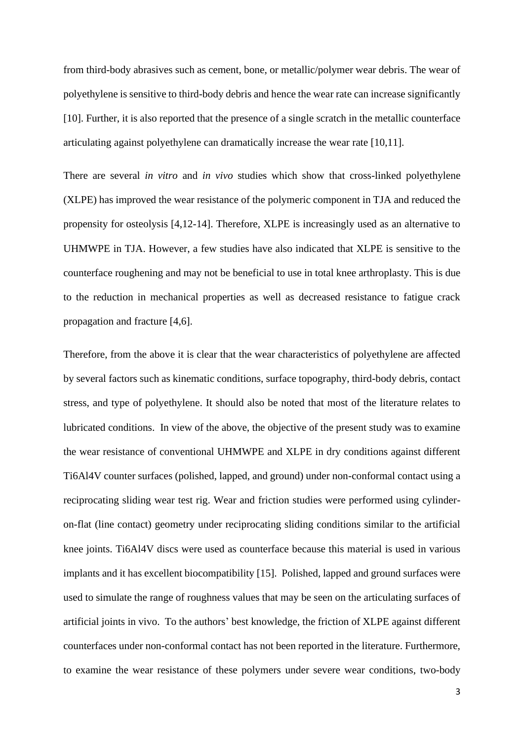from third-body abrasives such as cement, bone, or metallic/polymer wear debris. The wear of polyethylene is sensitive to third-body debris and hence the wear rate can increase significantly [10]. Further, it is also reported that the presence of a single scratch in the metallic counterface articulating against polyethylene can dramatically increase the wear rate [10,11].

There are several *in vitro* and *in vivo* studies which show that cross-linked polyethylene (XLPE) has improved the wear resistance of the polymeric component in TJA and reduced the propensity for osteolysis [4,12-14]. Therefore, XLPE is increasingly used as an alternative to UHMWPE in TJA. However, a few studies have also indicated that XLPE is sensitive to the counterface roughening and may not be beneficial to use in total knee arthroplasty. This is due to the reduction in mechanical properties as well as decreased resistance to fatigue crack propagation and fracture [4,6].

Therefore, from the above it is clear that the wear characteristics of polyethylene are affected by several factors such as kinematic conditions, surface topography, third-body debris, contact stress, and type of polyethylene. It should also be noted that most of the literature relates to lubricated conditions. In view of the above, the objective of the present study was to examine the wear resistance of conventional UHMWPE and XLPE in dry conditions against different Ti6Al4V counter surfaces (polished, lapped, and ground) under non-conformal contact using a reciprocating sliding wear test rig. Wear and friction studies were performed using cylinderon-flat (line contact) geometry under reciprocating sliding conditions similar to the artificial knee joints. Ti6Al4V discs were used as counterface because this material is used in various implants and it has excellent biocompatibility [15]. Polished, lapped and ground surfaces were used to simulate the range of roughness values that may be seen on the articulating surfaces of artificial joints in vivo. To the authors' best knowledge, the friction of XLPE against different counterfaces under non-conformal contact has not been reported in the literature. Furthermore, to examine the wear resistance of these polymers under severe wear conditions, two-body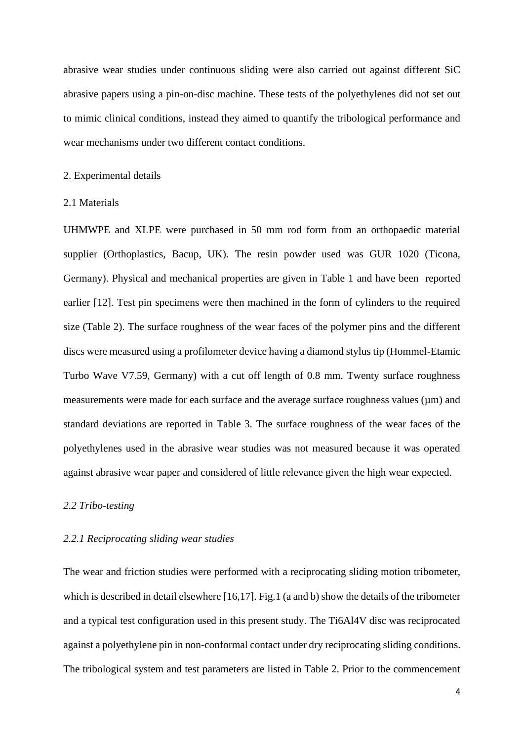abrasive wear studies under continuous sliding were also carried out against different SiC abrasive papers using a pin-on-disc machine. These tests of the polyethylenes did not set out to mimic clinical conditions, instead they aimed to quantify the tribological performance and wear mechanisms under two different contact conditions.

#### 2. Experimental details

## 2.1 Materials

UHMWPE and XLPE were purchased in 50 mm rod form from an orthopaedic material supplier (Orthoplastics, Bacup, UK). The resin powder used was GUR 1020 (Ticona, Germany). Physical and mechanical properties are given in Table 1 and have been reported earlier [12]. Test pin specimens were then machined in the form of cylinders to the required size (Table 2). The surface roughness of the wear faces of the polymer pins and the different discs were measured using a profilometer device having a diamond stylus tip (Hommel-Etamic Turbo Wave V7.59, Germany) with a cut off length of 0.8 mm. Twenty surface roughness measurements were made for each surface and the average surface roughness values ( $\mu$ m) and standard deviations are reported in Table 3. The surface roughness of the wear faces of the polyethylenes used in the abrasive wear studies was not measured because it was operated against abrasive wear paper and considered of little relevance given the high wear expected.

## *2.2 Tribo-testing*

# *2.2.1 Reciprocating sliding wear studies*

The wear and friction studies were performed with a reciprocating sliding motion tribometer, which is described in detail elsewhere [16,17]. Fig.1 (a and b) show the details of the tribometer and a typical test configuration used in this present study. The Ti6Al4V disc was reciprocated against a polyethylene pin in non-conformal contact under dry reciprocating sliding conditions. The tribological system and test parameters are listed in Table 2. Prior to the commencement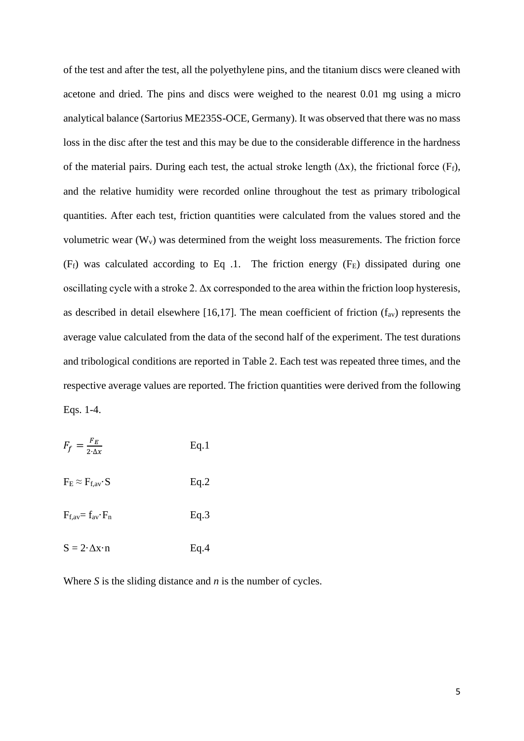of the test and after the test, all the polyethylene pins, and the titanium discs were cleaned with acetone and dried. The pins and discs were weighed to the nearest 0.01 mg using a micro analytical balance (Sartorius ME235S-OCE, Germany). It was observed that there was no mass loss in the disc after the test and this may be due to the considerable difference in the hardness of the material pairs. During each test, the actual stroke length  $(\Delta x)$ , the frictional force (F<sub>f</sub>), and the relative humidity were recorded online throughout the test as primary tribological quantities. After each test, friction quantities were calculated from the values stored and the volumetric wear  $(W_v)$  was determined from the weight loss measurements. The friction force  $(F_f)$  was calculated according to Eq .1. The friction energy  $(F_E)$  dissipated during one oscillating cycle with a stroke 2. Δx corresponded to the area within the friction loop hysteresis, as described in detail elsewhere [16,17]. The mean coefficient of friction  $(f_{av})$  represents the average value calculated from the data of the second half of the experiment. The test durations and tribological conditions are reported in Table 2. Each test was repeated three times, and the respective average values are reported. The friction quantities were derived from the following Eqs. 1-4.

| $F_f = \frac{F_E}{2 \cdot \Delta x}$ |  | Eq.1 |
|--------------------------------------|--|------|
|                                      |  |      |

| $F_E \approx F_{f,av} \cdot S$ | Eq.2 |
|--------------------------------|------|
|--------------------------------|------|

 $F_{f.av} = f_{av} \cdot F_n$  Eq.3

| $S = 2 \cdot \Delta x \cdot n$ | Eq.4 |
|--------------------------------|------|
|                                |      |

Where *S* is the sliding distance and *n* is the number of cycles.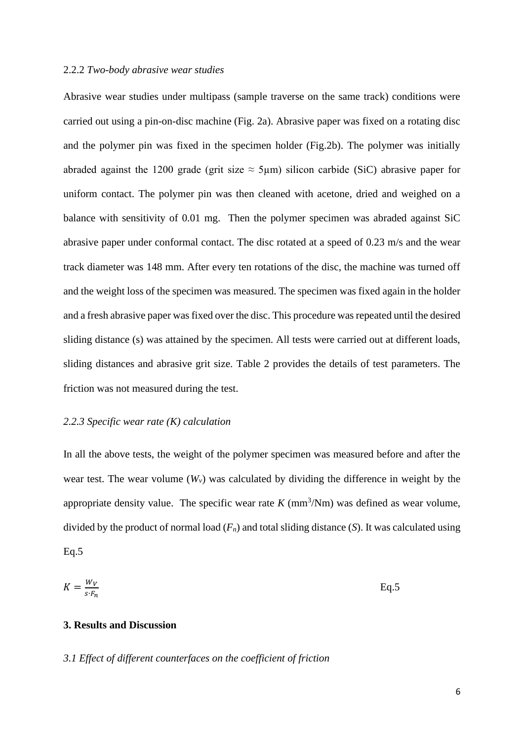## 2.2.2 *Two-body abrasive wear studies*

Abrasive wear studies under multipass (sample traverse on the same track) conditions were carried out using a pin-on-disc machine (Fig. 2a). Abrasive paper was fixed on a rotating disc and the polymer pin was fixed in the specimen holder (Fig.2b). The polymer was initially abraded against the 1200 grade (grit size  $\approx$  5µm) silicon carbide (SiC) abrasive paper for uniform contact. The polymer pin was then cleaned with acetone, dried and weighed on a balance with sensitivity of 0.01 mg. Then the polymer specimen was abraded against SiC abrasive paper under conformal contact. The disc rotated at a speed of 0.23 m/s and the wear track diameter was 148 mm. After every ten rotations of the disc, the machine was turned off and the weight loss of the specimen was measured. The specimen was fixed again in the holder and a fresh abrasive paper was fixed over the disc. This procedure was repeated until the desired sliding distance (s) was attained by the specimen. All tests were carried out at different loads, sliding distances and abrasive grit size. Table 2 provides the details of test parameters. The friction was not measured during the test.

# *2.2.3 Specific wear rate (K) calculation*

In all the above tests, the weight of the polymer specimen was measured before and after the wear test. The wear volume  $(W_v)$  was calculated by dividing the difference in weight by the appropriate density value. The specific wear rate  $K \, (\text{mm}^3/\text{Nm})$  was defined as wear volume, divided by the product of normal load  $(F_n)$  and total sliding distance  $(S)$ . It was calculated using  $Eq.5$ 

$$
K = \frac{W_V}{s \cdot F_n} \tag{Eq.5}
$$

# **3. Results and Discussion**

## *3.1 Effect of different counterfaces on the coefficient of friction*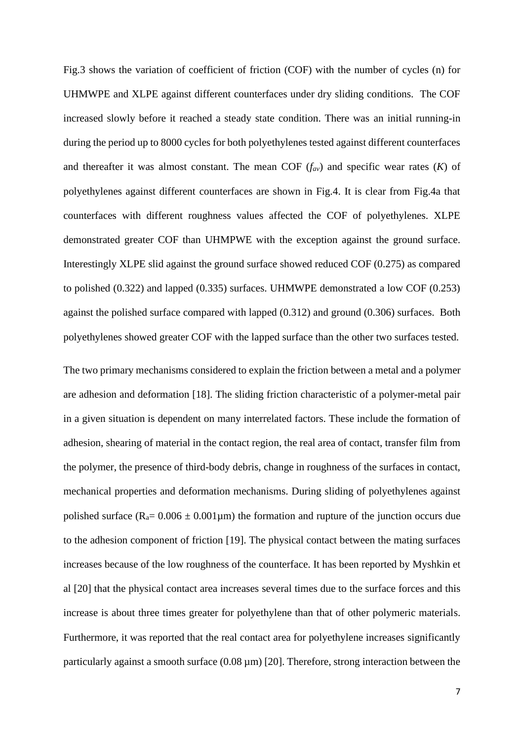Fig.3 shows the variation of coefficient of friction (COF) with the number of cycles (n) for UHMWPE and XLPE against different counterfaces under dry sliding conditions. The COF increased slowly before it reached a steady state condition. There was an initial running-in during the period up to 8000 cycles for both polyethylenes tested against different counterfaces and thereafter it was almost constant. The mean COF (*fav*) and specific wear rates (*K*) of polyethylenes against different counterfaces are shown in Fig.4. It is clear from Fig.4a that counterfaces with different roughness values affected the COF of polyethylenes. XLPE demonstrated greater COF than UHMPWE with the exception against the ground surface. Interestingly XLPE slid against the ground surface showed reduced COF (0.275) as compared to polished (0.322) and lapped (0.335) surfaces. UHMWPE demonstrated a low COF (0.253) against the polished surface compared with lapped (0.312) and ground (0.306) surfaces. Both polyethylenes showed greater COF with the lapped surface than the other two surfaces tested.

The two primary mechanisms considered to explain the friction between a metal and a polymer are adhesion and deformation [18]. The sliding friction characteristic of a polymer-metal pair in a given situation is dependent on many interrelated factors. These include the formation of adhesion, shearing of material in the contact region, the real area of contact, transfer film from the polymer, the presence of third-body debris, change in roughness of the surfaces in contact, mechanical properties and deformation mechanisms. During sliding of polyethylenes against polished surface ( $R_a$ = 0.006  $\pm$  0.001 $\mu$ m) the formation and rupture of the junction occurs due to the adhesion component of friction [19]. The physical contact between the mating surfaces increases because of the low roughness of the counterface. It has been reported by Myshkin et al [20] that the physical contact area increases several times due to the surface forces and this increase is about three times greater for polyethylene than that of other polymeric materials. Furthermore, it was reported that the real contact area for polyethylene increases significantly particularly against a smooth surface  $(0.08 \,\text{\ensuremath{\mu}m})$  [20]. Therefore, strong interaction between the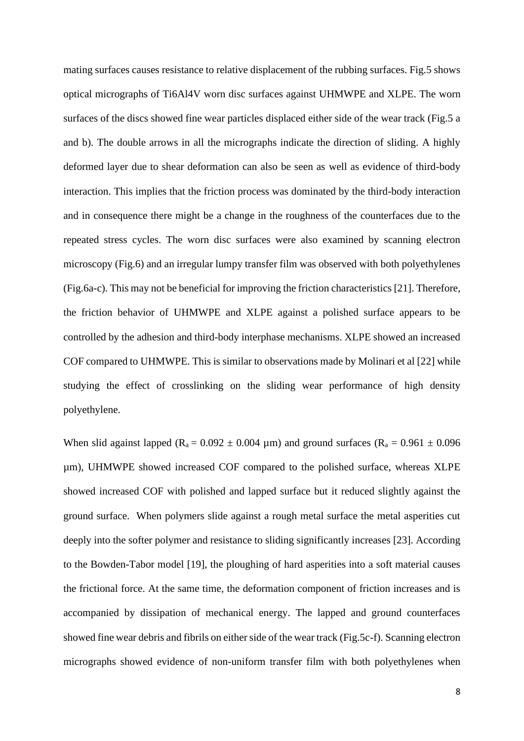mating surfaces causes resistance to relative displacement of the rubbing surfaces. Fig.5 shows optical micrographs of Ti6Al4V worn disc surfaces against UHMWPE and XLPE. The worn surfaces of the discs showed fine wear particles displaced either side of the wear track (Fig.5 a and b). The double arrows in all the micrographs indicate the direction of sliding. A highly deformed layer due to shear deformation can also be seen as well as evidence of third-body interaction. This implies that the friction process was dominated by the third-body interaction and in consequence there might be a change in the roughness of the counterfaces due to the repeated stress cycles. The worn disc surfaces were also examined by scanning electron microscopy (Fig.6) and an irregular lumpy transfer film was observed with both polyethylenes (Fig.6a-c). This may not be beneficial for improving the friction characteristics [21]. Therefore, the friction behavior of UHMWPE and XLPE against a polished surface appears to be controlled by the adhesion and third-body interphase mechanisms. XLPE showed an increased COF compared to UHMWPE. This is similar to observations made by Molinari et al [22] while studying the effect of crosslinking on the sliding wear performance of high density polyethylene.

When slid against lapped ( $R_a = 0.092 \pm 0.004 \,\mu$ m) and ground surfaces ( $R_a = 0.961 \pm 0.096$ um). UHMWPE showed increased COF compared to the polished surface, whereas XLPE showed increased COF with polished and lapped surface but it reduced slightly against the ground surface. When polymers slide against a rough metal surface the metal asperities cut deeply into the softer polymer and resistance to sliding significantly increases [23]. According to the Bowden-Tabor model [19], the ploughing of hard asperities into a soft material causes the frictional force. At the same time, the deformation component of friction increases and is accompanied by dissipation of mechanical energy. The lapped and ground counterfaces showed fine wear debris and fibrils on either side of the wear track (Fig.5c-f). Scanning electron micrographs showed evidence of non-uniform transfer film with both polyethylenes when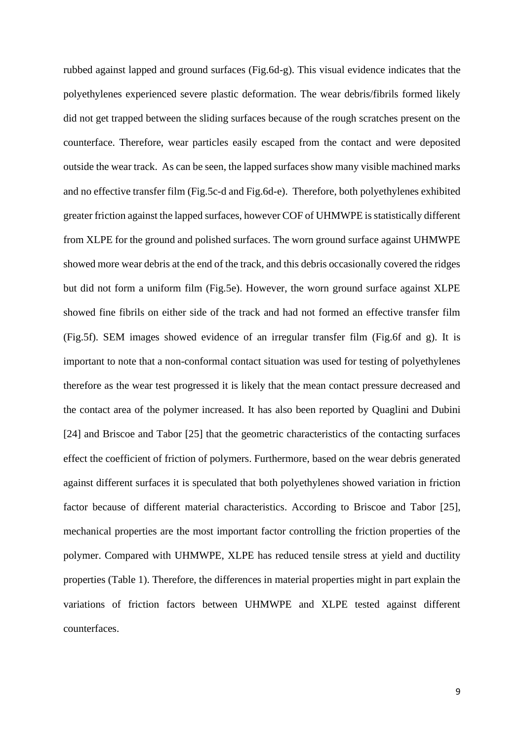rubbed against lapped and ground surfaces (Fig.6d-g). This visual evidence indicates that the polyethylenes experienced severe plastic deformation. The wear debris/fibrils formed likely did not get trapped between the sliding surfaces because of the rough scratches present on the counterface. Therefore, wear particles easily escaped from the contact and were deposited outside the wear track. As can be seen, the lapped surfaces show many visible machined marks and no effective transfer film (Fig.5c-d and Fig.6d-e). Therefore, both polyethylenes exhibited greater friction against the lapped surfaces, however COF of UHMWPE is statistically different from XLPE for the ground and polished surfaces. The worn ground surface against UHMWPE showed more wear debris at the end of the track, and this debris occasionally covered the ridges but did not form a uniform film (Fig.5e). However, the worn ground surface against XLPE showed fine fibrils on either side of the track and had not formed an effective transfer film (Fig.5f). SEM images showed evidence of an irregular transfer film (Fig.6f and g). It is important to note that a non-conformal contact situation was used for testing of polyethylenes therefore as the wear test progressed it is likely that the mean contact pressure decreased and the contact area of the polymer increased. It has also been reported by Quaglini and Dubini [24] and Briscoe and Tabor [25] that the geometric characteristics of the contacting surfaces effect the coefficient of friction of polymers. Furthermore, based on the wear debris generated against different surfaces it is speculated that both polyethylenes showed variation in friction factor because of different material characteristics. According to Briscoe and Tabor [25], mechanical properties are the most important factor controlling the friction properties of the polymer. Compared with UHMWPE, XLPE has reduced tensile stress at yield and ductility properties (Table 1). Therefore, the differences in material properties might in part explain the variations of friction factors between UHMWPE and XLPE tested against different counterfaces.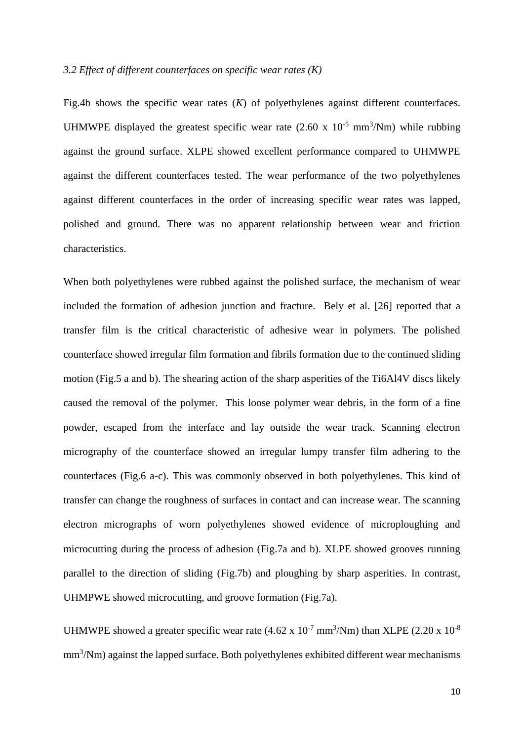## *3.2 Effect of different counterfaces on specific wear rates (K)*

Fig.4b shows the specific wear rates (*K*) of polyethylenes against different counterfaces. UHMWPE displayed the greatest specific wear rate  $(2.60 \times 10^{-5} \text{ mm}^3/\text{Nm})$  while rubbing against the ground surface. XLPE showed excellent performance compared to UHMWPE against the different counterfaces tested. The wear performance of the two polyethylenes against different counterfaces in the order of increasing specific wear rates was lapped, polished and ground. There was no apparent relationship between wear and friction characteristics.

When both polyethylenes were rubbed against the polished surface, the mechanism of wear included the formation of adhesion junction and fracture. Bely et al. [26] reported that a transfer film is the critical characteristic of adhesive wear in polymers. The polished counterface showed irregular film formation and fibrils formation due to the continued sliding motion (Fig.5 a and b). The shearing action of the sharp asperities of the Ti6Al4V discs likely caused the removal of the polymer. This loose polymer wear debris, in the form of a fine powder, escaped from the interface and lay outside the wear track. Scanning electron micrography of the counterface showed an irregular lumpy transfer film adhering to the counterfaces (Fig.6 a-c). This was commonly observed in both polyethylenes. This kind of transfer can change the roughness of surfaces in contact and can increase wear. The scanning electron micrographs of worn polyethylenes showed evidence of microploughing and microcutting during the process of adhesion (Fig.7a and b). XLPE showed grooves running parallel to the direction of sliding (Fig.7b) and ploughing by sharp asperities. In contrast, UHMPWE showed microcutting, and groove formation (Fig.7a).

UHMWPE showed a greater specific wear rate  $(4.62 \times 10^{-7} \text{ mm}^3/\text{Nm})$  than XLPE  $(2.20 \times 10^{-8} \text{ m})$  $mm<sup>3</sup>/Nm$ ) against the lapped surface. Both polyethylenes exhibited different wear mechanisms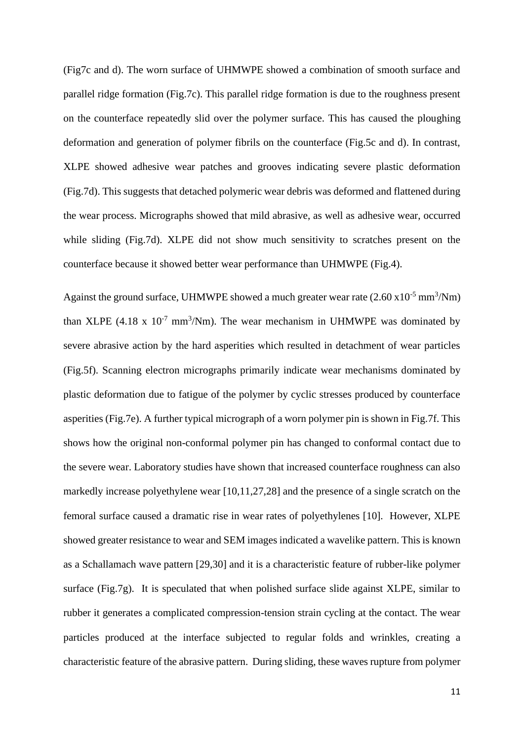(Fig7c and d). The worn surface of UHMWPE showed a combination of smooth surface and parallel ridge formation (Fig.7c). This parallel ridge formation is due to the roughness present on the counterface repeatedly slid over the polymer surface. This has caused the ploughing deformation and generation of polymer fibrils on the counterface (Fig.5c and d). In contrast, XLPE showed adhesive wear patches and grooves indicating severe plastic deformation (Fig.7d). This suggests that detached polymeric wear debris was deformed and flattened during the wear process. Micrographs showed that mild abrasive, as well as adhesive wear, occurred while sliding (Fig.7d). XLPE did not show much sensitivity to scratches present on the counterface because it showed better wear performance than UHMWPE (Fig.4).

Against the ground surface, UHMWPE showed a much greater wear rate  $(2.60 \times 10^{-5} \text{ mm}^3/\text{Nm})$ than XLPE  $(4.18 \times 10^{-7} \text{ mm}^3/\text{Nm})$ . The wear mechanism in UHMWPE was dominated by severe abrasive action by the hard asperities which resulted in detachment of wear particles (Fig.5f). Scanning electron micrographs primarily indicate wear mechanisms dominated by plastic deformation due to fatigue of the polymer by cyclic stresses produced by counterface asperities (Fig.7e). A further typical micrograph of a worn polymer pin is shown in Fig.7f. This shows how the original non-conformal polymer pin has changed to conformal contact due to the severe wear. Laboratory studies have shown that increased counterface roughness can also markedly increase polyethylene wear [10,11,27,28] and the presence of a single scratch on the femoral surface caused a dramatic rise in wear rates of polyethylenes [10]. However, XLPE showed greater resistance to wear and SEM images indicated a wavelike pattern. This is known as a Schallamach wave pattern [29,30] and it is a characteristic feature of rubber-like polymer surface (Fig.7g). It is speculated that when polished surface slide against XLPE, similar to rubber it generates a complicated compression-tension strain cycling at the contact. The wear particles produced at the interface subjected to regular folds and wrinkles, creating a characteristic feature of the abrasive pattern. During sliding, these waves rupture from polymer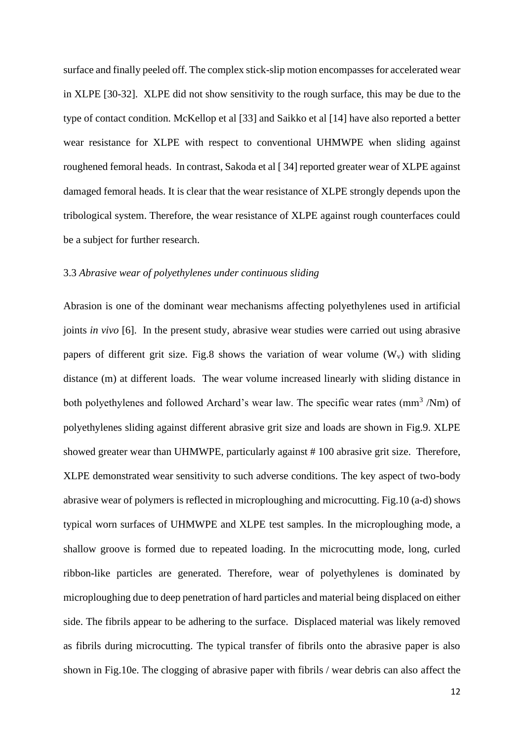surface and finally peeled off. The complex stick-slip motion encompasses for accelerated wear in XLPE [30-32]. XLPE did not show sensitivity to the rough surface, this may be due to the type of contact condition. McKellop et al [33] and Saikko et al [14] have also reported a better wear resistance for XLPE with respect to conventional UHMWPE when sliding against roughened femoral heads. In contrast, Sakoda et al [ 34] reported greater wear of XLPE against damaged femoral heads. It is clear that the wear resistance of XLPE strongly depends upon the tribological system. Therefore, the wear resistance of XLPE against rough counterfaces could be a subject for further research.

## 3.3 *Abrasive wear of polyethylenes under continuous sliding*

Abrasion is one of the dominant wear mechanisms affecting polyethylenes used in artificial joints *in vivo* [6]. In the present study, abrasive wear studies were carried out using abrasive papers of different grit size. Fig.8 shows the variation of wear volume  $(W_v)$  with sliding distance (m) at different loads. The wear volume increased linearly with sliding distance in both polyethylenes and followed Archard's wear law. The specific wear rates (mm<sup>3</sup>/Nm) of polyethylenes sliding against different abrasive grit size and loads are shown in Fig.9. XLPE showed greater wear than UHMWPE, particularly against # 100 abrasive grit size. Therefore, XLPE demonstrated wear sensitivity to such adverse conditions. The key aspect of two-body abrasive wear of polymers is reflected in microploughing and microcutting. Fig.10 (a-d) shows typical worn surfaces of UHMWPE and XLPE test samples. In the microploughing mode, a shallow groove is formed due to repeated loading. In the microcutting mode, long, curled ribbon-like particles are generated. Therefore, wear of polyethylenes is dominated by microploughing due to deep penetration of hard particles and material being displaced on either side. The fibrils appear to be adhering to the surface. Displaced material was likely removed as fibrils during microcutting. The typical transfer of fibrils onto the abrasive paper is also shown in Fig.10e. The clogging of abrasive paper with fibrils / wear debris can also affect the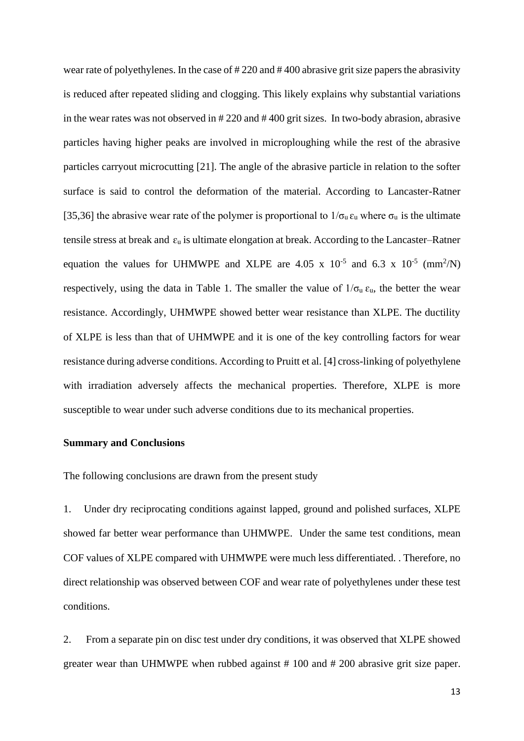wear rate of polyethylenes. In the case of # 220 and # 400 abrasive grit size papers the abrasivity is reduced after repeated sliding and clogging. This likely explains why substantial variations in the wear rates was not observed in # 220 and # 400 grit sizes. In two-body abrasion, abrasive particles having higher peaks are involved in microploughing while the rest of the abrasive particles carryout microcutting [21]. The angle of the abrasive particle in relation to the softer surface is said to control the deformation of the material. According to Lancaster-Ratner [35,36] the abrasive wear rate of the polymer is proportional to  $1/\sigma_u \varepsilon_u$  where  $\sigma_u$  is the ultimate tensile stress at break and  $\varepsilon_u$  is ultimate elongation at break. According to the Lancaster–Ratner equation the values for UHMWPE and XLPE are 4.05 x  $10^{-5}$  and 6.3 x  $10^{-5}$  (mm<sup>2</sup>/N) respectively, using the data in Table 1. The smaller the value of  $1/\sigma_u \varepsilon_u$ , the better the wear resistance. Accordingly, UHMWPE showed better wear resistance than XLPE. The ductility of XLPE is less than that of UHMWPE and it is one of the key controlling factors for wear resistance during adverse conditions. According to Pruitt et al. [4] cross-linking of polyethylene with irradiation adversely affects the mechanical properties. Therefore, XLPE is more susceptible to wear under such adverse conditions due to its mechanical properties.

#### **Summary and Conclusions**

The following conclusions are drawn from the present study

1. Under dry reciprocating conditions against lapped, ground and polished surfaces, XLPE showed far better wear performance than UHMWPE. Under the same test conditions, mean COF values of XLPE compared with UHMWPE were much less differentiated. . Therefore, no direct relationship was observed between COF and wear rate of polyethylenes under these test conditions.

2. From a separate pin on disc test under dry conditions, it was observed that XLPE showed greater wear than UHMWPE when rubbed against # 100 and # 200 abrasive grit size paper.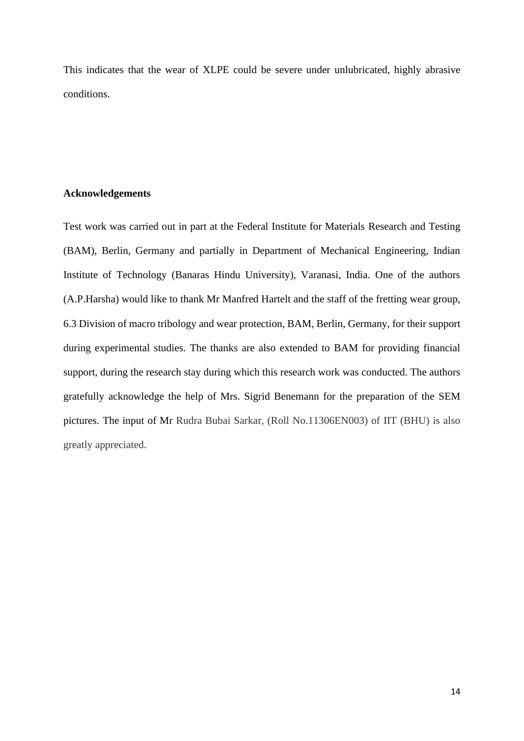This indicates that the wear of XLPE could be severe under unlubricated, highly abrasive conditions.

# **Acknowledgements**

Test work was carried out in part at the Federal Institute for Materials Research and Testing (BAM), Berlin, Germany and partially in Department of Mechanical Engineering, Indian Institute of Technology (Banaras Hindu University), Varanasi, India. One of the authors (A.P.Harsha) would like to thank Mr Manfred Hartelt and the staff of the fretting wear group, 6.3 Division of macro tribology and wear protection, BAM, Berlin, Germany, for their support during experimental studies. The thanks are also extended to BAM for providing financial support, during the research stay during which this research work was conducted. The authors gratefully acknowledge the help of Mrs. Sigrid Benemann for the preparation of the SEM pictures. The input of Mr Rudra Bubai Sarkar, (Roll No.11306EN003) of IIT (BHU) is also greatly appreciated.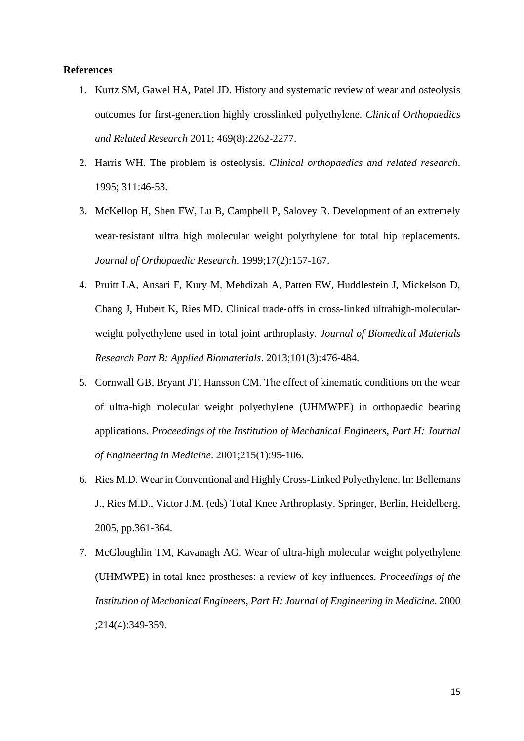# **References**

- 1. Kurtz SM, Gawel HA, Patel JD. History and systematic review of wear and osteolysis outcomes for first-generation highly crosslinked polyethylene. *Clinical Orthopaedics and Related Research* 2011; 469(8):2262-2277.
- 2. Harris WH. The problem is osteolysis*. Clinical orthopaedics and related research*. 1995; 311:46-53.
- 3. McKellop H, Shen FW, Lu B, Campbell P, Salovey R. Development of an extremely wear-resistant ultra high molecular weight polythylene for total hip replacements. *Journal of Orthopaedic Research*. 1999;17(2):157-167.
- 4. Pruitt LA, Ansari F, Kury M, Mehdizah A, Patten EW, Huddlestein J, Mickelson D, Chang J, Hubert K, Ries MD. Clinical trade‐offs in cross‐linked ultrahigh‐molecular‐ weight polyethylene used in total joint arthroplasty. *Journal of Biomedical Materials Research Part B: Applied Biomaterials*. 2013;101(3):476-484.
- 5. Cornwall GB, Bryant JT, Hansson CM. The effect of kinematic conditions on the wear of ultra-high molecular weight polyethylene (UHMWPE) in orthopaedic bearing applications. *Proceedings of the Institution of Mechanical Engineers, Part H: Journal of Engineering in Medicine*. 2001;215(1):95-106.
- 6. Ries M.D. Wear in Conventional and Highly Cross-Linked Polyethylene. In: Bellemans J., Ries M.D., Victor J.M. (eds) Total Knee Arthroplasty. Springer, Berlin, Heidelberg, 2005, pp.361-364.
- 7. McGloughlin TM, Kavanagh AG. Wear of ultra-high molecular weight polyethylene (UHMWPE) in total knee prostheses: a review of key influences. *Proceedings of the Institution of Mechanical Engineers, Part H: Journal of Engineering in Medicine*. 2000 ;214(4):349-359.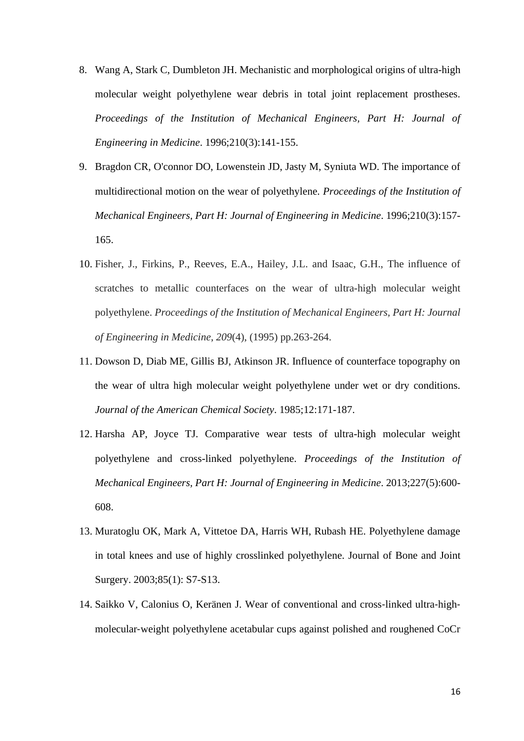- 8. Wang A, Stark C, Dumbleton JH. Mechanistic and morphological origins of ultra-high molecular weight polyethylene wear debris in total joint replacement prostheses. *Proceedings of the Institution of Mechanical Engineers, Part H: Journal of Engineering in Medicine*. 1996;210(3):141-155.
- 9. Bragdon CR, O'connor DO, Lowenstein JD, Jasty M, Syniuta WD. The importance of multidirectional motion on the wear of polyethylene. *Proceedings of the Institution of Mechanical Engineers, Part H: Journal of Engineering in Medicine*. 1996;210(3):157- 165.
- 10. Fisher, J., Firkins, P., Reeves, E.A., Hailey, J.L. and Isaac, G.H., The influence of scratches to metallic counterfaces on the wear of ultra-high molecular weight polyethylene. *Proceedings of the Institution of Mechanical Engineers, Part H: Journal of Engineering in Medicine*, *209*(4), (1995) pp.263-264.
- 11. Dowson D, Diab ME, Gillis BJ, Atkinson JR. Influence of counterface topography on the wear of ultra high molecular weight polyethylene under wet or dry conditions. *Journal of the American Chemical Society*. 1985;12:171-187.
- 12. Harsha AP, Joyce TJ. Comparative wear tests of ultra-high molecular weight polyethylene and cross-linked polyethylene. *Proceedings of the Institution of Mechanical Engineers, Part H: Journal of Engineering in Medicine*. 2013;227(5):600- 608.
- 13. Muratoglu OK, Mark A, Vittetoe DA, Harris WH, Rubash HE. Polyethylene damage in total knees and use of highly crosslinked polyethylene. Journal of Bone and Joint Surgery. 2003;85(1): S7-S13.
- 14. Saikko V, Calonius O, Keränen J. Wear of conventional and cross‐linked ultra‐high‐ molecular‐weight polyethylene acetabular cups against polished and roughened CoCr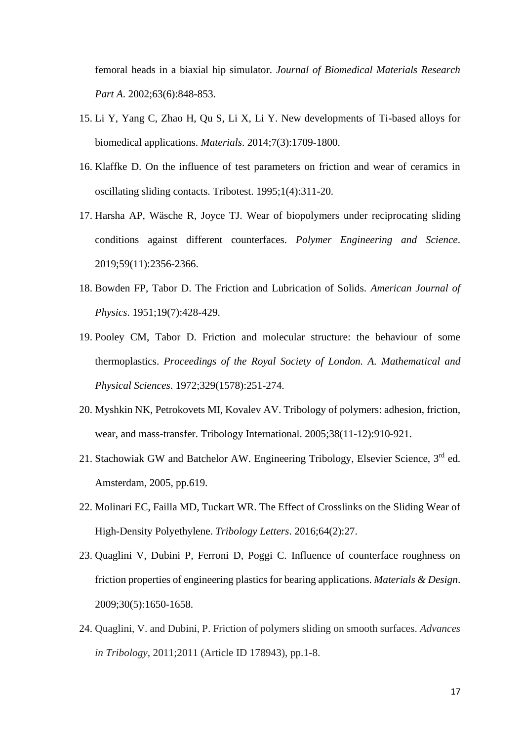femoral heads in a biaxial hip simulator. *Journal of Biomedical Materials Research Part A*. 2002;63(6):848-853.

- 15. Li Y, Yang C, Zhao H, Qu S, Li X, Li Y. New developments of Ti-based alloys for biomedical applications. *Materials*. 2014;7(3):1709-1800.
- 16. Klaffke D. On the influence of test parameters on friction and wear of ceramics in oscillating sliding contacts. Tribotest. 1995;1(4):311-20.
- 17. Harsha AP, Wäsche R, Joyce TJ. Wear of biopolymers under reciprocating sliding conditions against different counterfaces. *Polymer Engineering and Science*. 2019;59(11):2356-2366.
- 18. Bowden FP, Tabor D. The Friction and Lubrication of Solids. *American Journal of Physics*. 1951;19(7):428-429.
- 19. Pooley CM, Tabor D. Friction and molecular structure: the behaviour of some thermoplastics. *Proceedings of the Royal Society of London. A. Mathematical and Physical Sciences*. 1972;329(1578):251-274.
- 20. Myshkin NK, Petrokovets MI, Kovalev AV. Tribology of polymers: adhesion, friction, wear, and mass-transfer. Tribology International. 2005;38(11-12):910-921.
- 21. Stachowiak GW and Batchelor AW. Engineering Tribology, Elsevier Science, 3rd ed. Amsterdam, 2005, pp.619.
- 22. Molinari EC, Failla MD, Tuckart WR. The Effect of Crosslinks on the Sliding Wear of High-Density Polyethylene. *Tribology Letters*. 2016;64(2):27.
- 23. Quaglini V, Dubini P, Ferroni D, Poggi C. Influence of counterface roughness on friction properties of engineering plastics for bearing applications. *Materials & Design*. 2009;30(5):1650-1658.
- 24. Quaglini, V. and Dubini, P. Friction of polymers sliding on smooth surfaces. *Advances in Tribology*, 2011;2011 (Article ID 178943), pp.1-8.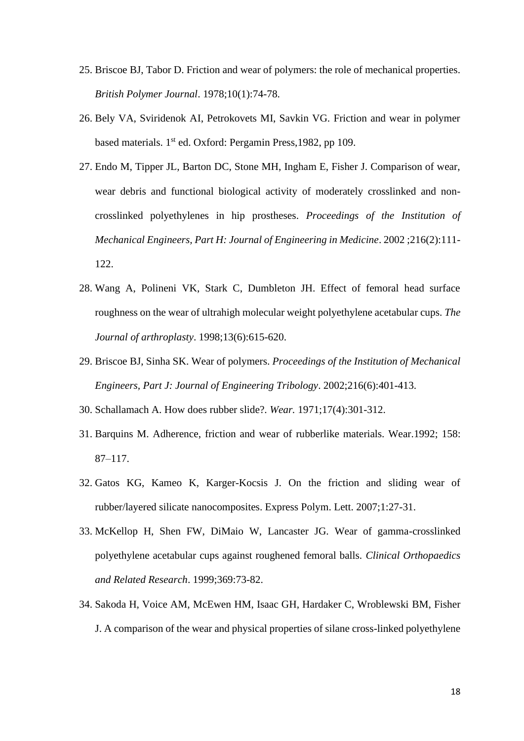- 25. Briscoe BJ, Tabor D. Friction and wear of polymers: the role of mechanical properties. *British Polymer Journal*. 1978;10(1):74-78.
- 26. Bely VA, Sviridenok AI, Petrokovets MI, Savkin VG. Friction and wear in polymer based materials. 1<sup>st</sup> ed. Oxford: Pergamin Press, 1982, pp 109.
- 27. Endo M, Tipper JL, Barton DC, Stone MH, Ingham E, Fisher J. Comparison of wear, wear debris and functional biological activity of moderately crosslinked and noncrosslinked polyethylenes in hip prostheses. *Proceedings of the Institution of Mechanical Engineers, Part H: Journal of Engineering in Medicine*. 2002 ;216(2):111- 122.
- 28. Wang A, Polineni VK, Stark C, Dumbleton JH. Effect of femoral head surface roughness on the wear of ultrahigh molecular weight polyethylene acetabular cups. *The Journal of arthroplasty*. 1998;13(6):615-620.
- 29. Briscoe BJ, Sinha SK. Wear of polymers. *Proceedings of the Institution of Mechanical Engineers, Part J: Journal of Engineering Tribology*. 2002;216(6):401-413.
- 30. Schallamach A. How does rubber slide?. *Wear.* 1971;17(4):301-312.
- 31. Barquins M. Adherence, friction and wear of rubberlike materials. Wear.1992; 158: 87–117.
- 32. Gatos KG, Kameo K, Karger-Kocsis J. On the friction and sliding wear of rubber/layered silicate nanocomposites. Express Polym. Lett. 2007;1:27-31.
- 33. McKellop H, Shen FW, DiMaio W, Lancaster JG. Wear of gamma-crosslinked polyethylene acetabular cups against roughened femoral balls. *Clinical Orthopaedics and Related Research*. 1999;369:73-82.
- 34. Sakoda H, Voice AM, McEwen HM, Isaac GH, Hardaker C, Wroblewski BM, Fisher J. A comparison of the wear and physical properties of silane cross-linked polyethylene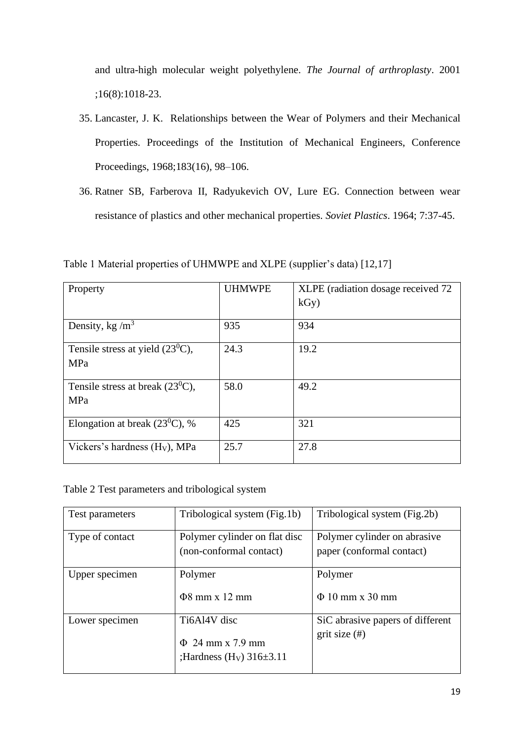and ultra-high molecular weight polyethylene. *The Journal of arthroplasty*. 2001 ;16(8):1018-23.

- 35. Lancaster, J. K. Relationships between the Wear of Polymers and their Mechanical Properties. Proceedings of the Institution of Mechanical Engineers, Conference Proceedings, 1968;183(16), 98–106.
- 36. Ratner SB, Farberova II, Radyukevich OV, Lure EG. Connection between wear resistance of plastics and other mechanical properties. *Soviet Plastics*. 1964; 7:37-45.

Table 1 Material properties of UHMWPE and XLPE (supplier's data) [12,17]

| Property                              | <b>UHMWPE</b> | XLPE (radiation dosage received 72 |
|---------------------------------------|---------------|------------------------------------|
|                                       |               | kGy)                               |
| Density, kg/ $m3$                     | 935           | 934                                |
| Tensile stress at yield $(23^0C)$ ,   | 24.3          | 19.2                               |
| MPa                                   |               |                                    |
| Tensile stress at break $(23^{0}C)$ , | 58.0          | 49.2                               |
| MPa                                   |               |                                    |
| Elongation at break $(23^0C)$ , %     | 425           | 321                                |
| Vickers's hardness $(HV)$ , MPa       | 25.7          | 27.8                               |

Table 2 Test parameters and tribological system

| Test parameters | Tribological system (Fig.1b)                                                       | Tribological system (Fig.2b)                              |
|-----------------|------------------------------------------------------------------------------------|-----------------------------------------------------------|
| Type of contact | Polymer cylinder on flat disc<br>(non-conformal contact)                           | Polymer cylinder on abrasive<br>paper (conformal contact) |
| Upper specimen  | Polymer<br>$\Phi$ 8 mm x 12 mm                                                     | Polymer<br>$\Phi$ 10 mm x 30 mm                           |
| Lower specimen  | Ti6Al4V disc<br>$\Phi$ 24 mm x 7.9 mm<br>; Hardness (H <sub>V</sub> ) $316\pm3.11$ | SiC abrasive papers of different<br>$grit size$ (#)       |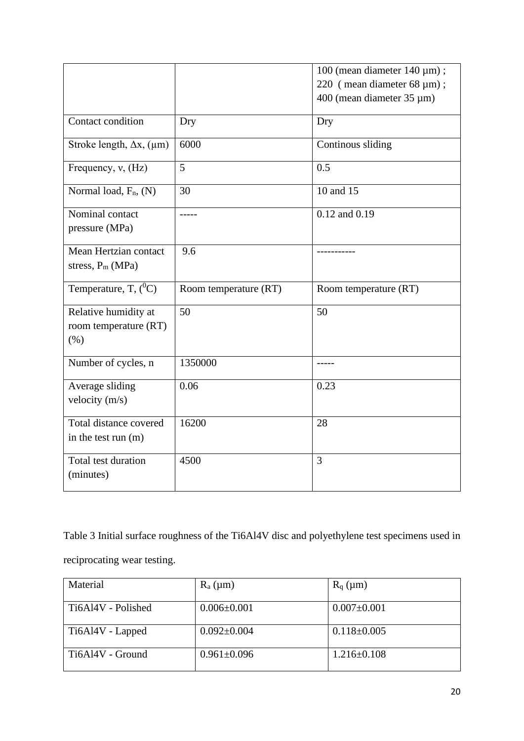|                                                       |                       | 100 (mean diameter $140 \mu m$ );<br>220 (mean diameter 68 µm); |
|-------------------------------------------------------|-----------------------|-----------------------------------------------------------------|
|                                                       |                       | 400 (mean diameter 35 µm)                                       |
| Contact condition                                     | Dry                   | Dry                                                             |
| Stroke length, $\Delta x$ , ( $\mu$ m)                | 6000                  | Continous sliding                                               |
| Frequency, $v$ , $(Hz)$                               | 5                     | 0.5                                                             |
| Normal load, $F_n$ , $(N)$                            | 30                    | 10 and 15                                                       |
| Nominal contact<br>pressure (MPa)                     | -----                 | 0.12 and 0.19                                                   |
| Mean Hertzian contact<br>stress, $P_m(MPa)$           | 9.6                   |                                                                 |
| Temperature, T, $(^0C)$                               | Room temperature (RT) | Room temperature (RT)                                           |
| Relative humidity at<br>room temperature (RT)<br>(% ) | 50                    | 50                                                              |
| Number of cycles, n                                   | 1350000               | -----                                                           |
| Average sliding<br>velocity $(m/s)$                   | 0.06                  | 0.23                                                            |
| Total distance covered<br>in the test run (m)         | 16200                 | 28                                                              |
| Total test duration<br>(minutes)                      | 4500                  | $\overline{3}$                                                  |

Table 3 Initial surface roughness of the Ti6Al4V disc and polyethylene test specimens used in reciprocating wear testing.

| Material           | $R_a(\mu m)$      | $R_q$ ( $\mu$ m)  |
|--------------------|-------------------|-------------------|
| Ti6Al4V - Polished | $0.006 \pm 0.001$ | $0.007 \pm 0.001$ |
| Ti6Al4V - Lapped   | $0.092 \pm 0.004$ | $0.118 \pm 0.005$ |
| Ti6Al4V - Ground   | $0.961 \pm 0.096$ | $1.216 \pm 0.108$ |